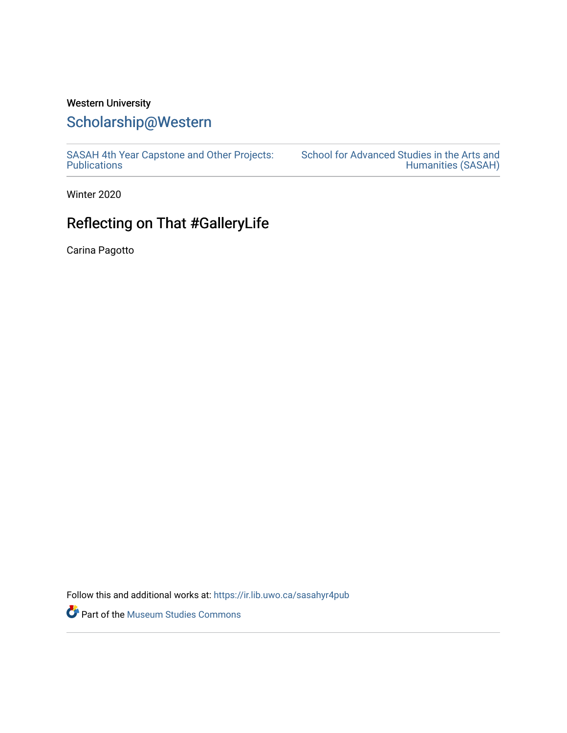### Western University

### [Scholarship@Western](https://ir.lib.uwo.ca/)

[SASAH 4th Year Capstone and Other Projects:](https://ir.lib.uwo.ca/sasahyr4pub)  [Publications](https://ir.lib.uwo.ca/sasahyr4pub) 

[School for Advanced Studies in the Arts and](https://ir.lib.uwo.ca/sasah)  [Humanities \(SASAH\)](https://ir.lib.uwo.ca/sasah) 

Winter 2020

## Reflecting on That #GalleryLife

Carina Pagotto

Follow this and additional works at: [https://ir.lib.uwo.ca/sasahyr4pub](https://ir.lib.uwo.ca/sasahyr4pub?utm_source=ir.lib.uwo.ca%2Fsasahyr4pub%2F14&utm_medium=PDF&utm_campaign=PDFCoverPages) 

Part of the [Museum Studies Commons](http://network.bepress.com/hgg/discipline/1366?utm_source=ir.lib.uwo.ca%2Fsasahyr4pub%2F14&utm_medium=PDF&utm_campaign=PDFCoverPages)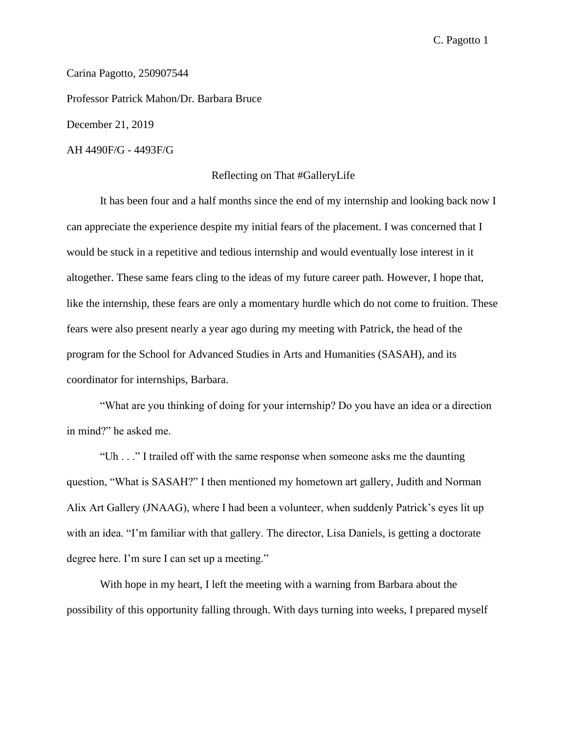Carina Pagotto, 250907544

Professor Patrick Mahon/Dr. Barbara Bruce

December 21, 2019

AH 4490F/G - 4493F/G

#### Reflecting on That #GalleryLife

It has been four and a half months since the end of my internship and looking back now I can appreciate the experience despite my initial fears of the placement. I was concerned that I would be stuck in a repetitive and tedious internship and would eventually lose interest in it altogether. These same fears cling to the ideas of my future career path. However, I hope that, like the internship, these fears are only a momentary hurdle which do not come to fruition. These fears were also present nearly a year ago during my meeting with Patrick, the head of the program for the School for Advanced Studies in Arts and Humanities (SASAH), and its coordinator for internships, Barbara.

"What are you thinking of doing for your internship? Do you have an idea or a direction in mind?" he asked me.

"Uh . . ." I trailed off with the same response when someone asks me the daunting question, "What is SASAH?" I then mentioned my hometown art gallery, Judith and Norman Alix Art Gallery (JNAAG), where I had been a volunteer, when suddenly Patrick's eyes lit up with an idea. "I'm familiar with that gallery. The director, Lisa Daniels, is getting a doctorate degree here. I'm sure I can set up a meeting."

With hope in my heart, I left the meeting with a warning from Barbara about the possibility of this opportunity falling through. With days turning into weeks, I prepared myself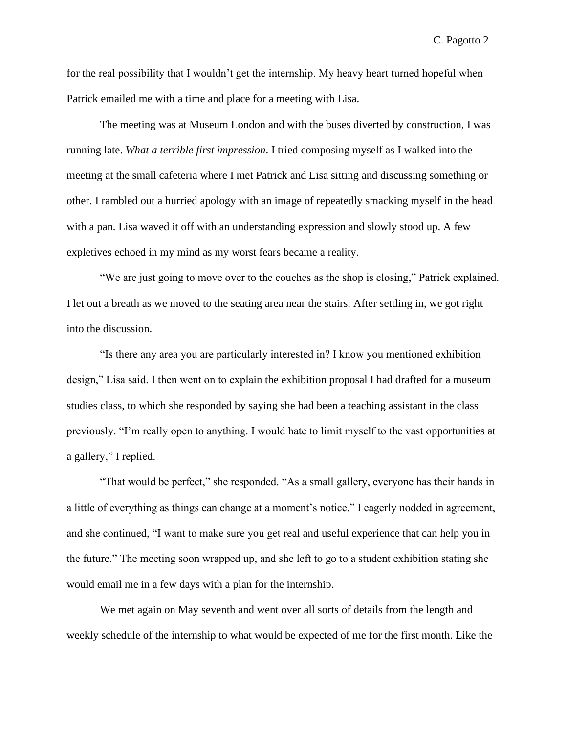for the real possibility that I wouldn't get the internship. My heavy heart turned hopeful when Patrick emailed me with a time and place for a meeting with Lisa.

The meeting was at Museum London and with the buses diverted by construction, I was running late. *What a terrible first impression*. I tried composing myself as I walked into the meeting at the small cafeteria where I met Patrick and Lisa sitting and discussing something or other. I rambled out a hurried apology with an image of repeatedly smacking myself in the head with a pan. Lisa waved it off with an understanding expression and slowly stood up. A few expletives echoed in my mind as my worst fears became a reality.

"We are just going to move over to the couches as the shop is closing," Patrick explained. I let out a breath as we moved to the seating area near the stairs. After settling in, we got right into the discussion.

"Is there any area you are particularly interested in? I know you mentioned exhibition design," Lisa said. I then went on to explain the exhibition proposal I had drafted for a museum studies class, to which she responded by saying she had been a teaching assistant in the class previously. "I'm really open to anything. I would hate to limit myself to the vast opportunities at a gallery," I replied.

"That would be perfect," she responded. "As a small gallery, everyone has their hands in a little of everything as things can change at a moment's notice." I eagerly nodded in agreement, and she continued, "I want to make sure you get real and useful experience that can help you in the future." The meeting soon wrapped up, and she left to go to a student exhibition stating she would email me in a few days with a plan for the internship.

We met again on May seventh and went over all sorts of details from the length and weekly schedule of the internship to what would be expected of me for the first month. Like the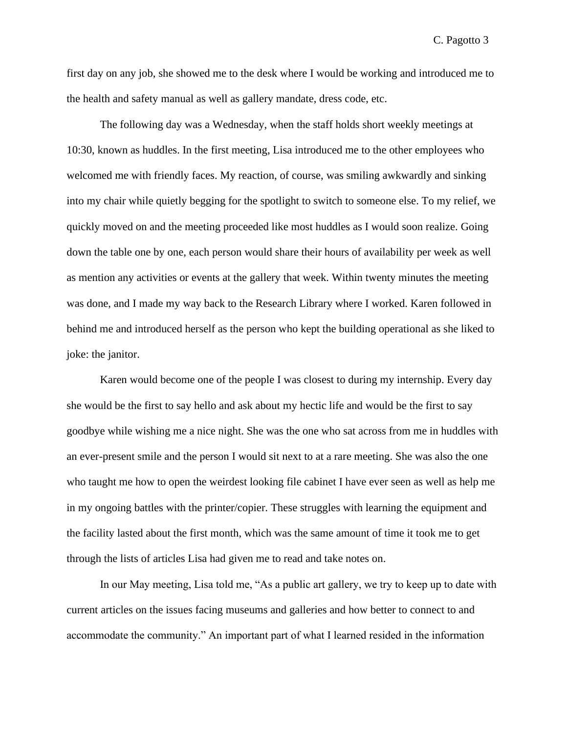first day on any job, she showed me to the desk where I would be working and introduced me to the health and safety manual as well as gallery mandate, dress code, etc.

The following day was a Wednesday, when the staff holds short weekly meetings at 10:30, known as huddles. In the first meeting, Lisa introduced me to the other employees who welcomed me with friendly faces. My reaction, of course, was smiling awkwardly and sinking into my chair while quietly begging for the spotlight to switch to someone else. To my relief, we quickly moved on and the meeting proceeded like most huddles as I would soon realize. Going down the table one by one, each person would share their hours of availability per week as well as mention any activities or events at the gallery that week. Within twenty minutes the meeting was done, and I made my way back to the Research Library where I worked. Karen followed in behind me and introduced herself as the person who kept the building operational as she liked to joke: the janitor.

Karen would become one of the people I was closest to during my internship. Every day she would be the first to say hello and ask about my hectic life and would be the first to say goodbye while wishing me a nice night. She was the one who sat across from me in huddles with an ever-present smile and the person I would sit next to at a rare meeting. She was also the one who taught me how to open the weirdest looking file cabinet I have ever seen as well as help me in my ongoing battles with the printer/copier. These struggles with learning the equipment and the facility lasted about the first month, which was the same amount of time it took me to get through the lists of articles Lisa had given me to read and take notes on.

In our May meeting, Lisa told me, "As a public art gallery, we try to keep up to date with current articles on the issues facing museums and galleries and how better to connect to and accommodate the community." An important part of what I learned resided in the information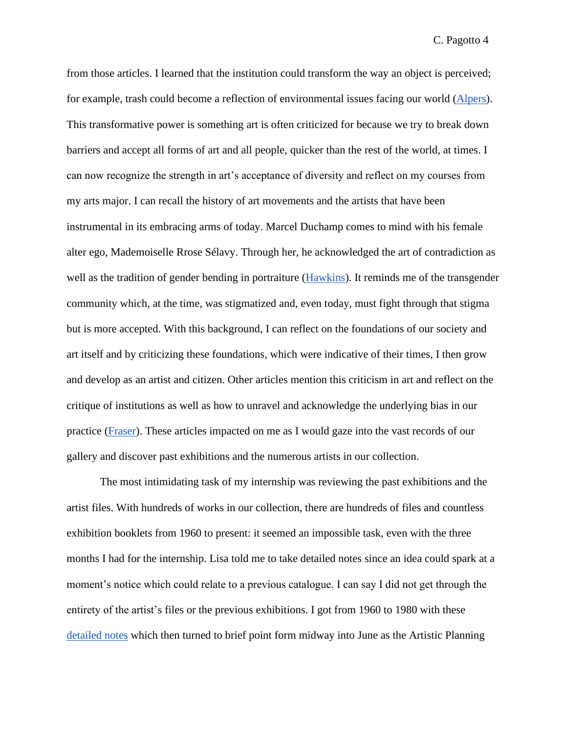from those articles. I learned that the institution could transform the way an object is perceived; for example, trash could become a reflection of environmental issues facing our world [\(Alpers\)](https://blogs.stockton.edu/amst5013/files/2013/12/Lavine-and-Karp-Exhibiting-Cultures-chap.-1-and-2.pdf). This transformative power is something art is often criticized for because we try to break down barriers and accept all forms of art and all people, quicker than the rest of the world, at times. I can now recognize the strength in art's acceptance of diversity and reflect on my courses from my arts major. I can recall the history of art movements and the artists that have been instrumental in its embracing arms of today. Marcel Duchamp comes to mind with his female alter ego, Mademoiselle Rrose Sélavy. Through her, he acknowledged the art of contradiction as well as the tradition of gender bending in portraiture [\(Hawkins\)](https://www.anothermag.com/art-photography/8084/meet-rrose-selavy-marcel-duchamp-s-female-alter-ego). It reminds me of the transgender community which, at the time, was stigmatized and, even today, must fight through that stigma but is more accepted. With this background, I can reflect on the foundations of our society and art itself and by criticizing these foundations, which were indicative of their times, I then grow and develop as an artist and citizen. Other articles mention this criticism in art and reflect on the critique of institutions as well as how to unravel and acknowledge the underlying bias in our practice [\(Fraser\)](http://www.marginalutility.org/wp-content/uploads/2010/07/Andrea-Fraser_From-the-Critique-of-Institutions-to-an-Institution-of-Critique.pdf). These articles impacted on me as I would gaze into the vast records of our gallery and discover past exhibitions and the numerous artists in our collection.

The most intimidating task of my internship was reviewing the past exhibitions and the artist files. With hundreds of works in our collection, there are hundreds of files and countless exhibition booklets from 1960 to present: it seemed an impossible task, even with the three months I had for the internship. Lisa told me to take detailed notes since an idea could spark at a moment's notice which could relate to a previous catalogue. I can say I did not get through the entirety of the artist's files or the previous exhibitions. I got from 1960 to 1980 with these [detailed notes](https://docs.google.com/document/d/1SOa0YNiGUpbOxMG3M8ENdQIjWLM7tB2yUyHxyD8xApk/edit) which then turned to brief point form midway into June as the Artistic Planning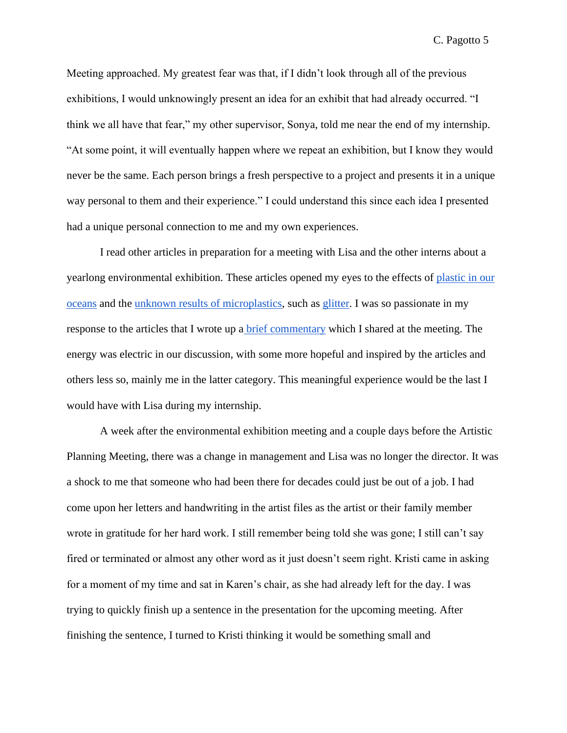Meeting approached. My greatest fear was that, if I didn't look through all of the previous exhibitions, I would unknowingly present an idea for an exhibit that had already occurred. "I think we all have that fear," my other supervisor, Sonya, told me near the end of my internship. "At some point, it will eventually happen where we repeat an exhibition, but I know they would never be the same. Each person brings a fresh perspective to a project and presents it in a unique way personal to them and their experience." I could understand this since each idea I presented had a unique personal connection to me and my own experiences.

I read other articles in preparation for a meeting with Lisa and the other interns about a yearlong environmental exhibition. These articles opened my eyes to the effects of [plastic in our](https://edition.cnn.com/2019/06/08/world/world-oceans-day-2019-pollution-facts-trnd/index.html)  [oceans](https://edition.cnn.com/2019/06/08/world/world-oceans-day-2019-pollution-facts-trnd/index.html) and the [unknown results of microplastics,](https://www.cbc.ca/news/canada/british-columbia/study-sheds-light-on-human-consumption-of-microplastics-1.5162753) such as [glitter.](https://www.nytimes.com/2018/12/21/style/glitter-factory.html) I was so passionate in my response to the articles that I wrote up a **brief** commentary which I shared at the meeting. The energy was electric in our discussion, with some more hopeful and inspired by the articles and others less so, mainly me in the latter category. This meaningful experience would be the last I would have with Lisa during my internship.

A week after the environmental exhibition meeting and a couple days before the Artistic Planning Meeting, there was a change in management and Lisa was no longer the director. It was a shock to me that someone who had been there for decades could just be out of a job. I had come upon her letters and handwriting in the artist files as the artist or their family member wrote in gratitude for her hard work. I still remember being told she was gone; I still can't say fired or terminated or almost any other word as it just doesn't seem right. Kristi came in asking for a moment of my time and sat in Karen's chair, as she had already left for the day. I was trying to quickly finish up a sentence in the presentation for the upcoming meeting. After finishing the sentence, I turned to Kristi thinking it would be something small and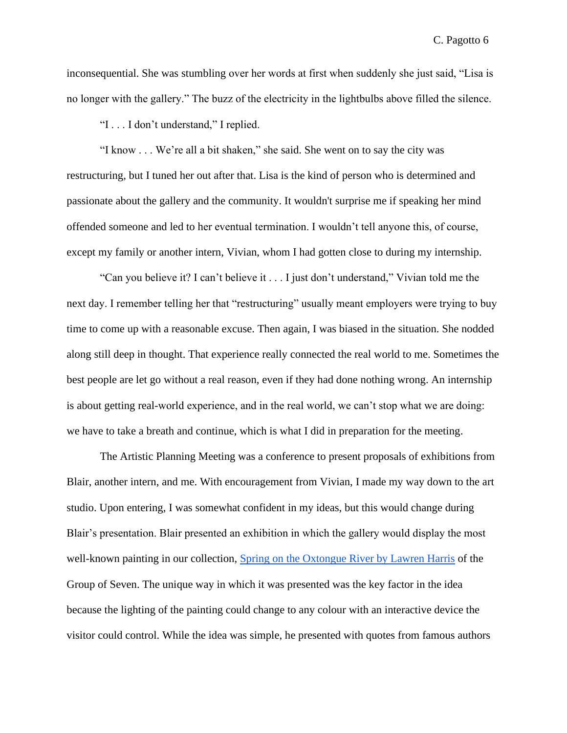inconsequential. She was stumbling over her words at first when suddenly she just said, "Lisa is no longer with the gallery." The buzz of the electricity in the lightbulbs above filled the silence.

"I . . . I don't understand," I replied.

"I know . . . We're all a bit shaken," she said. She went on to say the city was restructuring, but I tuned her out after that. Lisa is the kind of person who is determined and passionate about the gallery and the community. It wouldn't surprise me if speaking her mind offended someone and led to her eventual termination. I wouldn't tell anyone this, of course, except my family or another intern, Vivian, whom I had gotten close to during my internship.

"Can you believe it? I can't believe it . . . I just don't understand," Vivian told me the next day. I remember telling her that "restructuring" usually meant employers were trying to buy time to come up with a reasonable excuse. Then again, I was biased in the situation. She nodded along still deep in thought. That experience really connected the real world to me. Sometimes the best people are let go without a real reason, even if they had done nothing wrong. An internship is about getting real-world experience, and in the real world, we can't stop what we are doing: we have to take a breath and continue, which is what I did in preparation for the meeting.

The Artistic Planning Meeting was a conference to present proposals of exhibitions from Blair, another intern, and me. With encouragement from Vivian, I made my way down to the art studio. Upon entering, I was somewhat confident in my ideas, but this would change during Blair's presentation. Blair presented an exhibition in which the gallery would display the most well-known painting in our collection, [Spring on the Oxtongue River by Lawren Harris](https://jnaag.ca/exhibit/influencing-identity-tourism-and-the-group-of-seven/) of the Group of Seven. The unique way in which it was presented was the key factor in the idea because the lighting of the painting could change to any colour with an interactive device the visitor could control. While the idea was simple, he presented with quotes from famous authors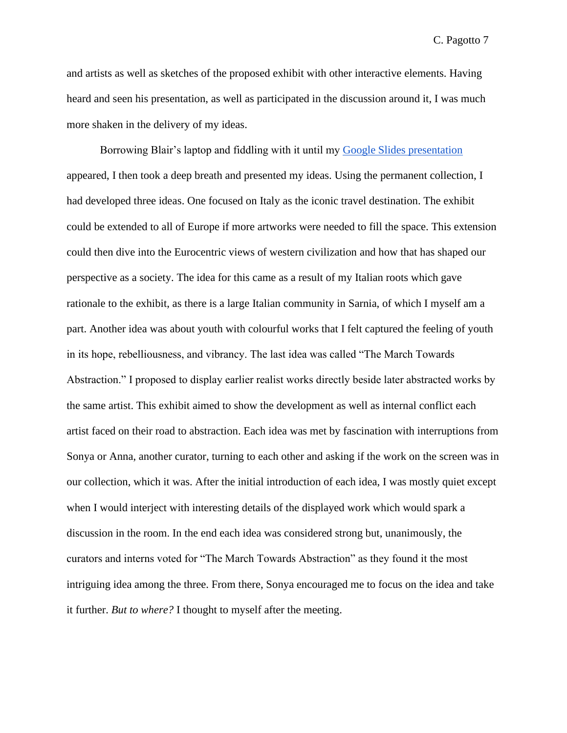and artists as well as sketches of the proposed exhibit with other interactive elements. Having heard and seen his presentation, as well as participated in the discussion around it, I was much more shaken in the delivery of my ideas.

Borrowing Blair's laptop and fiddling with it until my [Google Slides presentation](https://docs.google.com/presentation/d/1L1XfskVKfvPiWXZ1apr_V5PTyNUSUS_vn4gkjmB-LxE/edit#slide=id.g5c02527d6e_0_109) appeared, I then took a deep breath and presented my ideas. Using the permanent collection, I had developed three ideas. One focused on Italy as the iconic travel destination. The exhibit could be extended to all of Europe if more artworks were needed to fill the space. This extension could then dive into the Eurocentric views of western civilization and how that has shaped our perspective as a society. The idea for this came as a result of my Italian roots which gave rationale to the exhibit, as there is a large Italian community in Sarnia, of which I myself am a part. Another idea was about youth with colourful works that I felt captured the feeling of youth in its hope, rebelliousness, and vibrancy. The last idea was called "The March Towards Abstraction." I proposed to display earlier realist works directly beside later abstracted works by the same artist. This exhibit aimed to show the development as well as internal conflict each artist faced on their road to abstraction. Each idea was met by fascination with interruptions from Sonya or Anna, another curator, turning to each other and asking if the work on the screen was in our collection, which it was. After the initial introduction of each idea, I was mostly quiet except when I would interject with interesting details of the displayed work which would spark a discussion in the room. In the end each idea was considered strong but, unanimously, the curators and interns voted for "The March Towards Abstraction" as they found it the most intriguing idea among the three. From there, Sonya encouraged me to focus on the idea and take it further. *But to where?* I thought to myself after the meeting.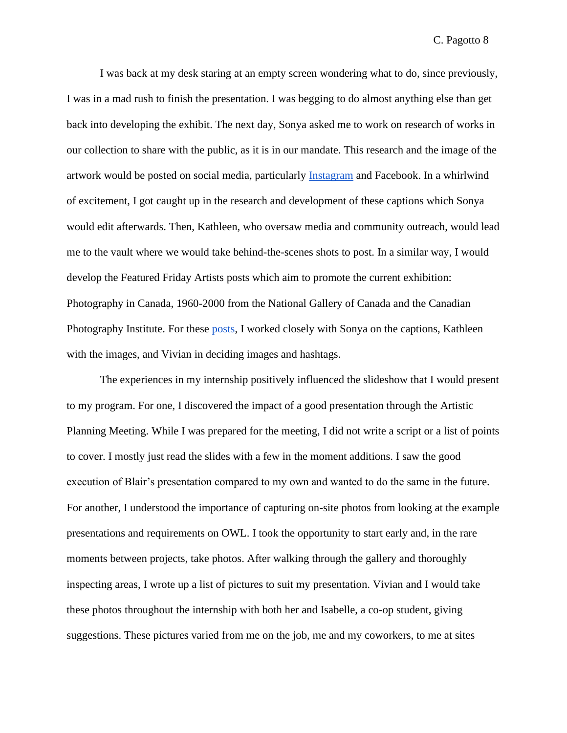I was back at my desk staring at an empty screen wondering what to do, since previously, I was in a mad rush to finish the presentation. I was begging to do almost anything else than get back into developing the exhibit. The next day, Sonya asked me to work on research of works in our collection to share with the public, as it is in our mandate. This research and the image of the artwork would be posted on social media, particularly [Instagram](https://www.instagram.com/p/Bz-1PrwHfIj/) and Facebook. In a whirlwind of excitement, I got caught up in the research and development of these captions which Sonya would edit afterwards. Then, Kathleen, who oversaw media and community outreach, would lead me to the vault where we would take behind-the-scenes shots to post. In a similar way, I would develop the Featured Friday Artists posts which aim to promote the current exhibition: Photography in Canada, 1960-2000 from the National Gallery of Canada and the Canadian Photography Institute. For these [posts,](https://docs.google.com/presentation/d/1GHCmyiacdpyUAo3VtC8v4D5XZS2-3Q_yodinp5iRA_I/edit#slide=id.g5e118e7704_0_1101) I worked closely with Sonya on the captions, Kathleen with the images, and Vivian in deciding images and hashtags.

The experiences in my internship positively influenced the slideshow that I would present to my program. For one, I discovered the impact of a good presentation through the Artistic Planning Meeting. While I was prepared for the meeting, I did not write a script or a list of points to cover. I mostly just read the slides with a few in the moment additions. I saw the good execution of Blair's presentation compared to my own and wanted to do the same in the future. For another, I understood the importance of capturing on-site photos from looking at the example presentations and requirements on OWL. I took the opportunity to start early and, in the rare moments between projects, take photos. After walking through the gallery and thoroughly inspecting areas, I wrote up a list of pictures to suit my presentation. Vivian and I would take these photos throughout the internship with both her and Isabelle, a co-op student, giving suggestions. These pictures varied from me on the job, me and my coworkers, to me at sites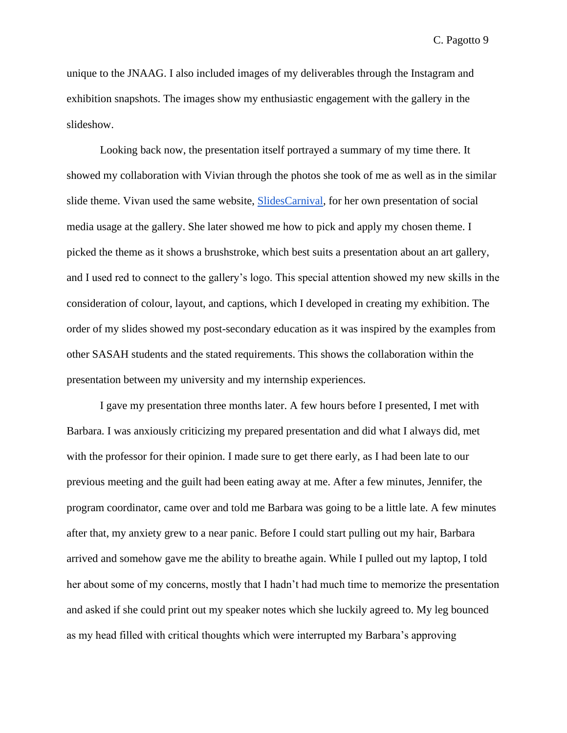unique to the JNAAG. I also included images of my deliverables through the Instagram and exhibition snapshots. The images show my enthusiastic engagement with the gallery in the slideshow.

Looking back now, the presentation itself portrayed a summary of my time there. It showed my collaboration with Vivian through the photos she took of me as well as in the similar slide theme. Vivan used the same website, [SlidesCarnival,](https://www.slidescarnival.com/) for her own presentation of social media usage at the gallery. She later showed me how to pick and apply my chosen theme. I picked the theme as it shows a brushstroke, which best suits a presentation about an art gallery, and I used red to connect to the gallery's logo. This special attention showed my new skills in the consideration of colour, layout, and captions, which I developed in creating my exhibition. The order of my slides showed my post-secondary education as it was inspired by the examples from other SASAH students and the stated requirements. This shows the collaboration within the presentation between my university and my internship experiences.

I gave my presentation three months later. A few hours before I presented, I met with Barbara. I was anxiously criticizing my prepared presentation and did what I always did, met with the professor for their opinion. I made sure to get there early, as I had been late to our previous meeting and the guilt had been eating away at me. After a few minutes, Jennifer, the program coordinator, came over and told me Barbara was going to be a little late. A few minutes after that, my anxiety grew to a near panic. Before I could start pulling out my hair, Barbara arrived and somehow gave me the ability to breathe again. While I pulled out my laptop, I told her about some of my concerns, mostly that I hadn't had much time to memorize the presentation and asked if she could print out my speaker notes which she luckily agreed to. My leg bounced as my head filled with critical thoughts which were interrupted my Barbara's approving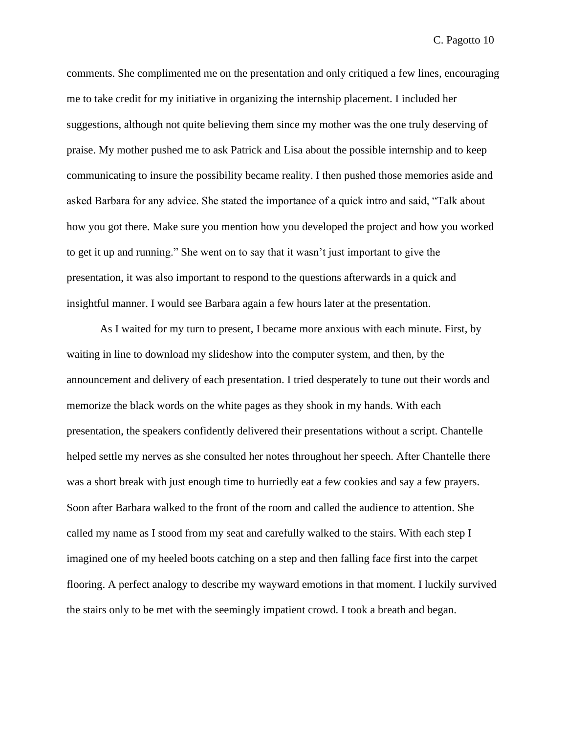comments. She complimented me on the presentation and only critiqued a few lines, encouraging me to take credit for my initiative in organizing the internship placement. I included her suggestions, although not quite believing them since my mother was the one truly deserving of praise. My mother pushed me to ask Patrick and Lisa about the possible internship and to keep communicating to insure the possibility became reality. I then pushed those memories aside and asked Barbara for any advice. She stated the importance of a quick intro and said, "Talk about how you got there. Make sure you mention how you developed the project and how you worked to get it up and running." She went on to say that it wasn't just important to give the presentation, it was also important to respond to the questions afterwards in a quick and insightful manner. I would see Barbara again a few hours later at the presentation.

As I waited for my turn to present, I became more anxious with each minute. First, by waiting in line to download my slideshow into the computer system, and then, by the announcement and delivery of each presentation. I tried desperately to tune out their words and memorize the black words on the white pages as they shook in my hands. With each presentation, the speakers confidently delivered their presentations without a script. Chantelle helped settle my nerves as she consulted her notes throughout her speech. After Chantelle there was a short break with just enough time to hurriedly eat a few cookies and say a few prayers. Soon after Barbara walked to the front of the room and called the audience to attention. She called my name as I stood from my seat and carefully walked to the stairs. With each step I imagined one of my heeled boots catching on a step and then falling face first into the carpet flooring. A perfect analogy to describe my wayward emotions in that moment. I luckily survived the stairs only to be met with the seemingly impatient crowd. I took a breath and began.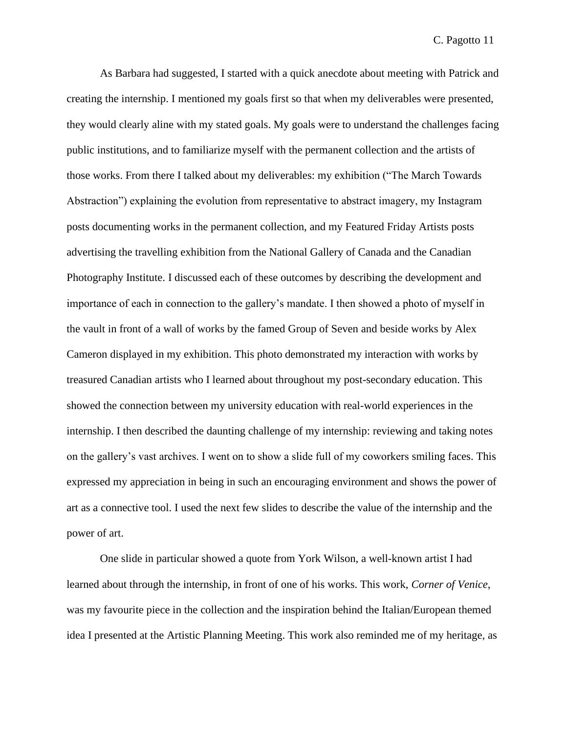As Barbara had suggested, I started with a quick anecdote about meeting with Patrick and creating the internship. I mentioned my goals first so that when my deliverables were presented, they would clearly aline with my stated goals. My goals were to understand the challenges facing public institutions, and to familiarize myself with the permanent collection and the artists of those works. From there I talked about my deliverables: my exhibition ("The March Towards Abstraction") explaining the evolution from representative to abstract imagery, my Instagram posts documenting works in the permanent collection, and my Featured Friday Artists posts advertising the travelling exhibition from the National Gallery of Canada and the Canadian Photography Institute. I discussed each of these outcomes by describing the development and importance of each in connection to the gallery's mandate. I then showed a photo of myself in the vault in front of a wall of works by the famed Group of Seven and beside works by Alex Cameron displayed in my exhibition. This photo demonstrated my interaction with works by treasured Canadian artists who I learned about throughout my post-secondary education. This showed the connection between my university education with real-world experiences in the internship. I then described the daunting challenge of my internship: reviewing and taking notes on the gallery's vast archives. I went on to show a slide full of my coworkers smiling faces. This expressed my appreciation in being in such an encouraging environment and shows the power of art as a connective tool. I used the next few slides to describe the value of the internship and the power of art.

One slide in particular showed a quote from York Wilson, a well-known artist I had learned about through the internship, in front of one of his works. This work, *Corner of Venice*, was my favourite piece in the collection and the inspiration behind the Italian/European themed idea I presented at the Artistic Planning Meeting. This work also reminded me of my heritage, as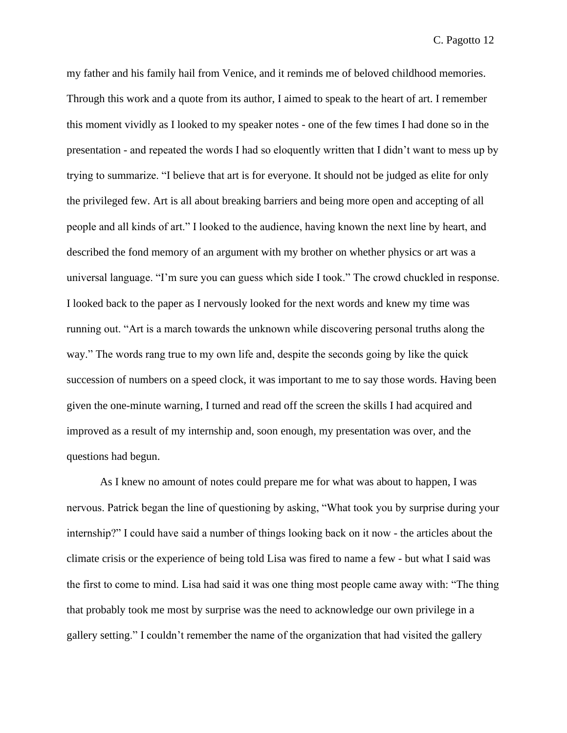my father and his family hail from Venice, and it reminds me of beloved childhood memories. Through this work and a quote from its author, I aimed to speak to the heart of art. I remember this moment vividly as I looked to my speaker notes - one of the few times I had done so in the presentation - and repeated the words I had so eloquently written that I didn't want to mess up by trying to summarize. "I believe that art is for everyone. It should not be judged as elite for only the privileged few. Art is all about breaking barriers and being more open and accepting of all people and all kinds of art." I looked to the audience, having known the next line by heart, and described the fond memory of an argument with my brother on whether physics or art was a universal language. "I'm sure you can guess which side I took." The crowd chuckled in response. I looked back to the paper as I nervously looked for the next words and knew my time was running out. "Art is a march towards the unknown while discovering personal truths along the way." The words rang true to my own life and, despite the seconds going by like the quick succession of numbers on a speed clock, it was important to me to say those words. Having been given the one-minute warning, I turned and read off the screen the skills I had acquired and improved as a result of my internship and, soon enough, my presentation was over, and the questions had begun.

As I knew no amount of notes could prepare me for what was about to happen, I was nervous. Patrick began the line of questioning by asking, "What took you by surprise during your internship?" I could have said a number of things looking back on it now - the articles about the climate crisis or the experience of being told Lisa was fired to name a few - but what I said was the first to come to mind. Lisa had said it was one thing most people came away with: "The thing that probably took me most by surprise was the need to acknowledge our own privilege in a gallery setting." I couldn't remember the name of the organization that had visited the gallery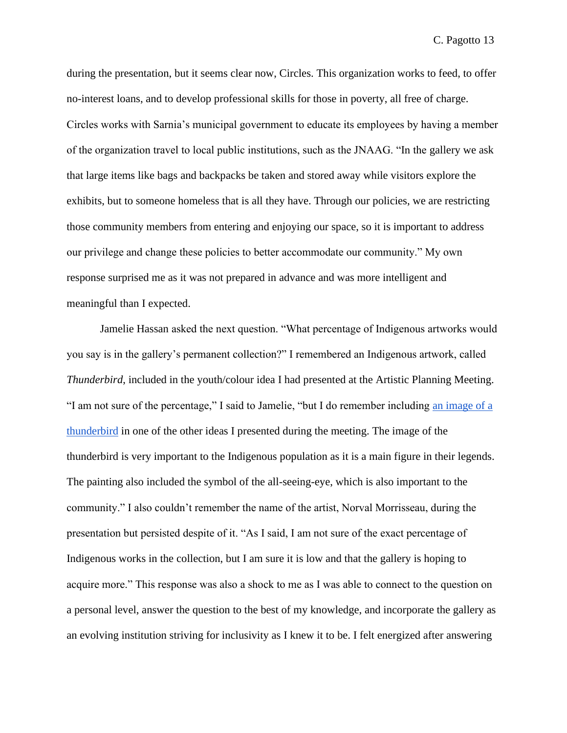during the presentation, but it seems clear now, Circles. This organization works to feed, to offer no-interest loans, and to develop professional skills for those in poverty, all free of charge. Circles works with Sarnia's municipal government to educate its employees by having a member of the organization travel to local public institutions, such as the JNAAG. "In the gallery we ask that large items like bags and backpacks be taken and stored away while visitors explore the exhibits, but to someone homeless that is all they have. Through our policies, we are restricting those community members from entering and enjoying our space, so it is important to address our privilege and change these policies to better accommodate our community." My own response surprised me as it was not prepared in advance and was more intelligent and meaningful than I expected.

Jamelie Hassan asked the next question. "What percentage of Indigenous artworks would you say is in the gallery's permanent collection?" I remembered an Indigenous artwork, called *Thunderbird*, included in the youth/colour idea I had presented at the Artistic Planning Meeting. "I am not sure of the percentage," I said to Jamelie, "but I do remember including [an image of a](https://docs.google.com/presentation/d/1L1XfskVKfvPiWXZ1apr_V5PTyNUSUS_vn4gkjmB-LxE/edit#slide=id.g5c135c0fc8_0_49)  [thunderbird](https://docs.google.com/presentation/d/1L1XfskVKfvPiWXZ1apr_V5PTyNUSUS_vn4gkjmB-LxE/edit#slide=id.g5c135c0fc8_0_49) in one of the other ideas I presented during the meeting. The image of the thunderbird is very important to the Indigenous population as it is a main figure in their legends. The painting also included the symbol of the all-seeing-eye, which is also important to the community." I also couldn't remember the name of the artist, Norval Morrisseau, during the presentation but persisted despite of it. "As I said, I am not sure of the exact percentage of Indigenous works in the collection, but I am sure it is low and that the gallery is hoping to acquire more." This response was also a shock to me as I was able to connect to the question on a personal level, answer the question to the best of my knowledge, and incorporate the gallery as an evolving institution striving for inclusivity as I knew it to be. I felt energized after answering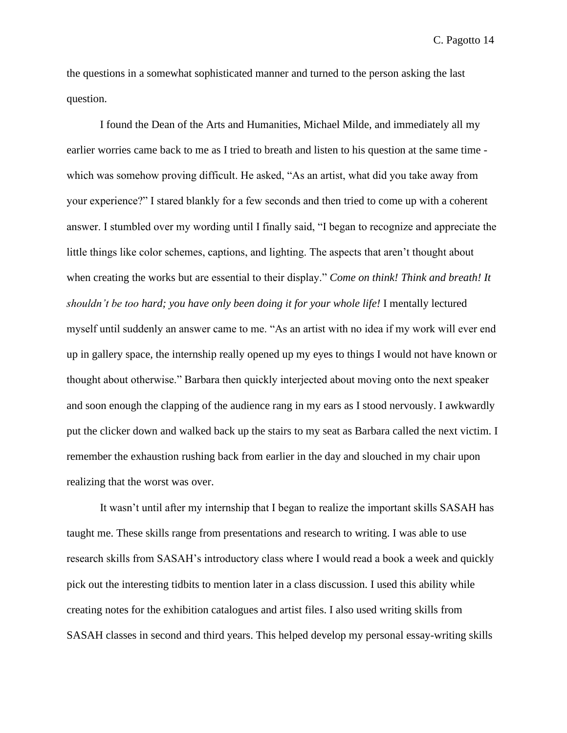the questions in a somewhat sophisticated manner and turned to the person asking the last question.

I found the Dean of the Arts and Humanities, Michael Milde, and immediately all my earlier worries came back to me as I tried to breath and listen to his question at the same time which was somehow proving difficult. He asked, "As an artist, what did you take away from your experience?" I stared blankly for a few seconds and then tried to come up with a coherent answer. I stumbled over my wording until I finally said, "I began to recognize and appreciate the little things like color schemes, captions, and lighting. The aspects that aren't thought about when creating the works but are essential to their display." *Come on think! Think and breath! It shouldn't be too hard; you have only been doing it for your whole life!* I mentally lectured myself until suddenly an answer came to me. "As an artist with no idea if my work will ever end up in gallery space, the internship really opened up my eyes to things I would not have known or thought about otherwise." Barbara then quickly interjected about moving onto the next speaker and soon enough the clapping of the audience rang in my ears as I stood nervously. I awkwardly put the clicker down and walked back up the stairs to my seat as Barbara called the next victim. I remember the exhaustion rushing back from earlier in the day and slouched in my chair upon realizing that the worst was over.

It wasn't until after my internship that I began to realize the important skills SASAH has taught me. These skills range from presentations and research to writing. I was able to use research skills from SASAH's introductory class where I would read a book a week and quickly pick out the interesting tidbits to mention later in a class discussion. I used this ability while creating notes for the exhibition catalogues and artist files. I also used writing skills from SASAH classes in second and third years. This helped develop my personal essay-writing skills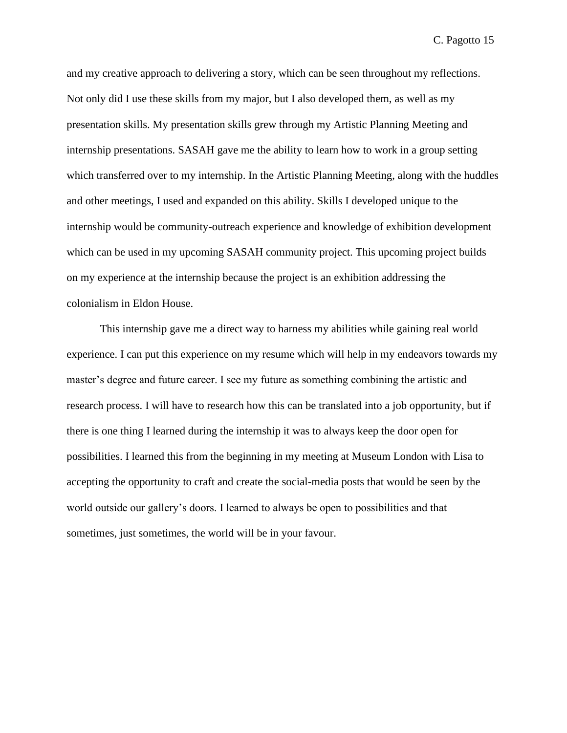and my creative approach to delivering a story, which can be seen throughout my reflections. Not only did I use these skills from my major, but I also developed them, as well as my presentation skills. My presentation skills grew through my Artistic Planning Meeting and internship presentations. SASAH gave me the ability to learn how to work in a group setting which transferred over to my internship. In the Artistic Planning Meeting, along with the huddles and other meetings, I used and expanded on this ability. Skills I developed unique to the internship would be community-outreach experience and knowledge of exhibition development which can be used in my upcoming SASAH community project. This upcoming project builds on my experience at the internship because the project is an exhibition addressing the colonialism in Eldon House.

This internship gave me a direct way to harness my abilities while gaining real world experience. I can put this experience on my resume which will help in my endeavors towards my master's degree and future career. I see my future as something combining the artistic and research process. I will have to research how this can be translated into a job opportunity, but if there is one thing I learned during the internship it was to always keep the door open for possibilities. I learned this from the beginning in my meeting at Museum London with Lisa to accepting the opportunity to craft and create the social-media posts that would be seen by the world outside our gallery's doors. I learned to always be open to possibilities and that sometimes, just sometimes, the world will be in your favour.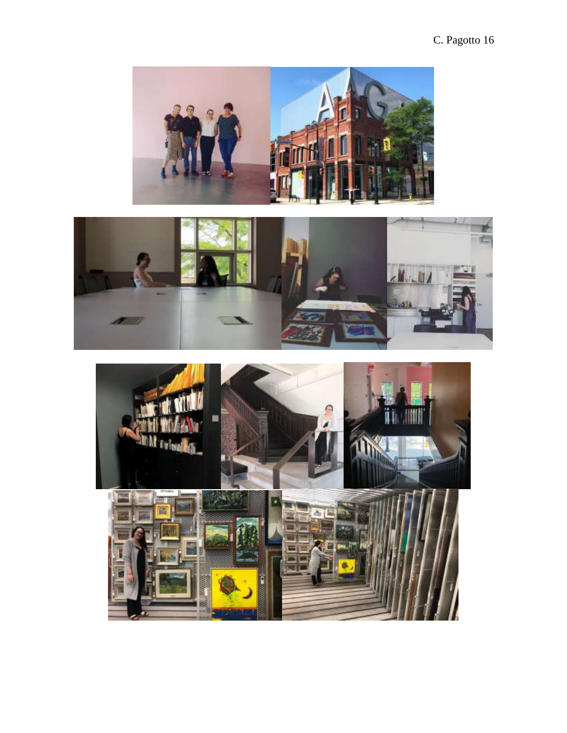